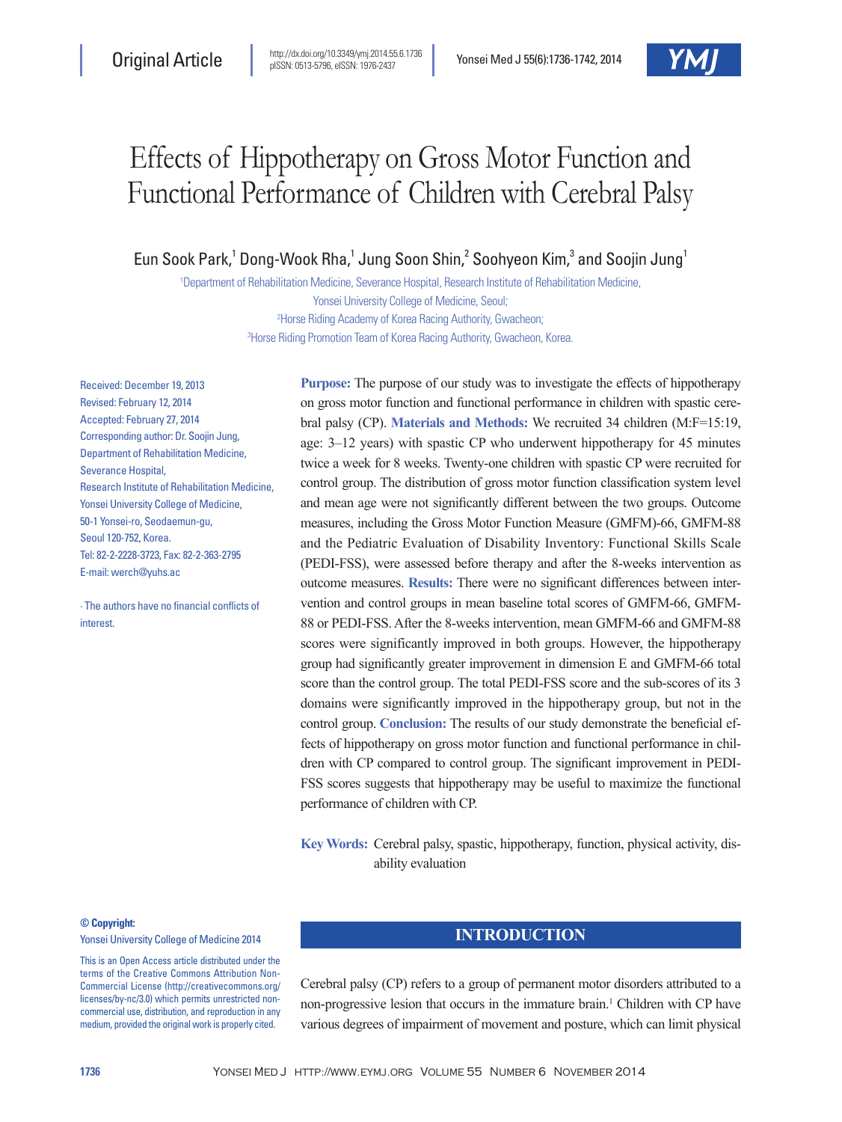# Effects of Hippotherapy on Gross Motor Function and Functional Performance of Children with Cerebral Palsy

Eun Sook Park,<sup>1</sup> Dong-Wook Rha,<sup>1</sup> Jung Soon Shin,<sup>2</sup> Soohyeon Kim,<sup>3</sup> and Soojin Jung<sup>1</sup>

 Department of Rehabilitation Medicine, Severance Hospital, Research Institute of Rehabilitation Medicine, Yonsei University College of Medicine, Seoul; Horse Riding Academy of Korea Racing Authority, Gwacheon; Horse Riding Promotion Team of Korea Racing Authority, Gwacheon, Korea.

Received: December 19, 2013 Revised: February 12, 2014 Accepted: February 27, 2014 Corresponding author: Dr. Soojin Jung, Department of Rehabilitation Medicine, Severance Hospital, Research Institute of Rehabilitation Medicine, Yonsei University College of Medicine, 50-1 Yonsei-ro, Seodaemun-gu, Seoul 120-752, Korea. Tel: 82-2-2228-3723, Fax: 82-2-363-2795 E-mail: werch@yuhs.ac

∙ The authors have no financial conflicts of interest.

**Purpose:** The purpose of our study was to investigate the effects of hippotherapy on gross motor function and functional performance in children with spastic cerebral palsy (CP). **Materials and Methods:** We recruited 34 children (M:F=15:19, age: 3‒12 years) with spastic CP who underwent hippotherapy for 45 minutes twice a week for 8 weeks. Twenty-one children with spastic CP were recruited for control group. The distribution of gross motor function classification system level and mean age were not significantly different between the two groups. Outcome measures, including the Gross Motor Function Measure (GMFM)-66, GMFM-88 and the Pediatric Evaluation of Disability Inventory: Functional Skills Scale (PEDI-FSS), were assessed before therapy and after the 8-weeks intervention as outcome measures. **Results:** There were no significant differences between intervention and control groups in mean baseline total scores of GMFM-66, GMFM-88 or PEDI-FSS. After the 8-weeks intervention, mean GMFM-66 and GMFM-88 scores were significantly improved in both groups. However, the hippotherapy group had significantly greater improvement in dimension E and GMFM-66 total score than the control group. The total PEDI-FSS score and the sub-scores of its 3 domains were significantly improved in the hippotherapy group, but not in the control group. **Conclusion:** The results of our study demonstrate the beneficial effects of hippotherapy on gross motor function and functional performance in children with CP compared to control group. The significant improvement in PEDI-FSS scores suggests that hippotherapy may be useful to maximize the functional performance of children with CP.

**Key Words:** Cerebral palsy, spastic, hippotherapy, function, physical activity, disability evaluation

#### **© Copyright:**

Yonsei University College of Medicine 2014

This is an Open Access article distributed under the terms of the Creative Commons Attribution Non-Commercial License (http://creativecommons.org/ licenses/by-nc/3.0) which permits unrestricted noncommercial use, distribution, and reproduction in any medium, provided the original work is properly cited.

## **INTRODUCTION**

Cerebral palsy (CP) refers to a group of permanent motor disorders attributed to a non-progressive lesion that occurs in the immature brain.<sup>1</sup> Children with CP have various degrees of impairment of movement and posture, which can limit physical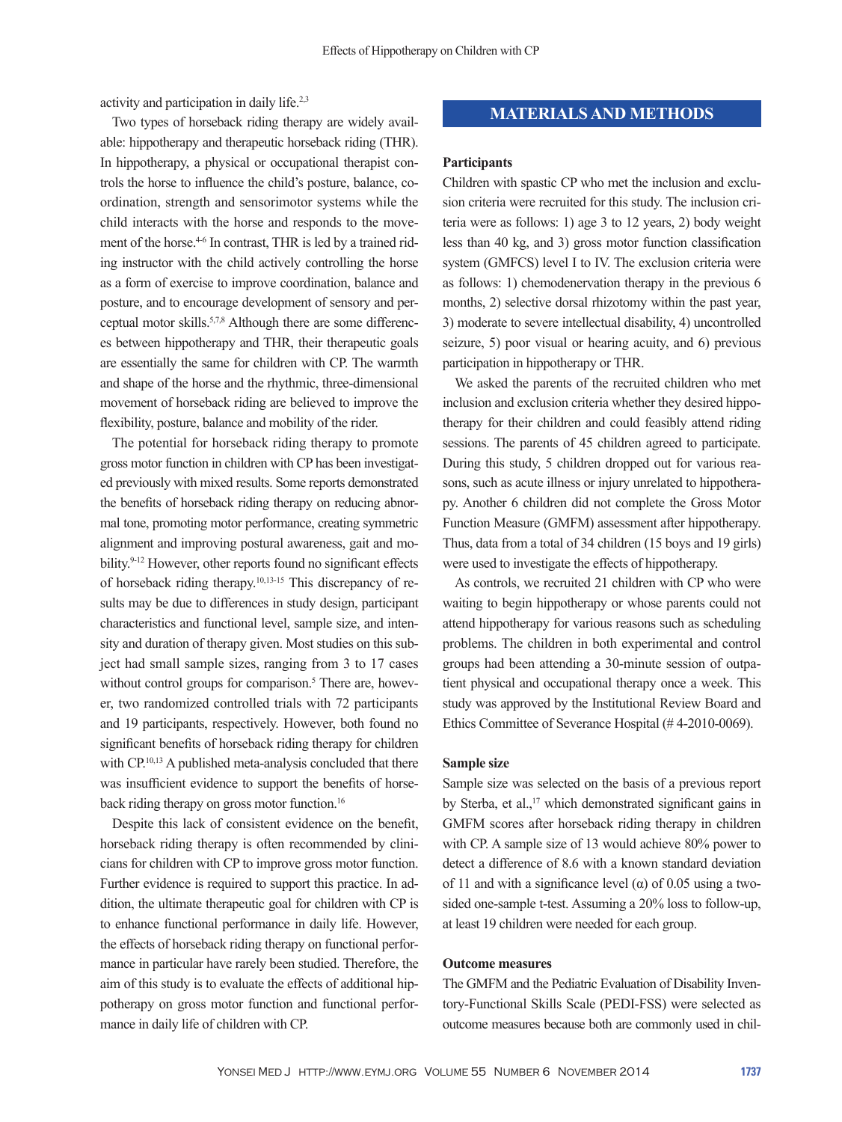activity and participation in daily life.2,3

Two types of horseback riding therapy are widely available: hippotherapy and therapeutic horseback riding (THR). In hippotherapy, a physical or occupational therapist controls the horse to influence the child's posture, balance, coordination, strength and sensorimotor systems while the child interacts with the horse and responds to the movement of the horse.<sup>4-6</sup> In contrast, THR is led by a trained riding instructor with the child actively controlling the horse as a form of exercise to improve coordination, balance and posture, and to encourage development of sensory and perceptual motor skills.5,7,8 Although there are some differences between hippotherapy and THR, their therapeutic goals are essentially the same for children with CP. The warmth and shape of the horse and the rhythmic, three-dimensional movement of horseback riding are believed to improve the flexibility, posture, balance and mobility of the rider.

The potential for horseback riding therapy to promote gross motor function in children with CP has been investigated previously with mixed results. Some reports demonstrated the benefits of horseback riding therapy on reducing abnormal tone, promoting motor performance, creating symmetric alignment and improving postural awareness, gait and mobility.<sup>9-12</sup> However, other reports found no significant effects of horseback riding therapy.10,13-15 This discrepancy of results may be due to differences in study design, participant characteristics and functional level, sample size, and intensity and duration of therapy given. Most studies on this subject had small sample sizes, ranging from 3 to 17 cases without control groups for comparison.<sup>5</sup> There are, however, two randomized controlled trials with 72 participants and 19 participants, respectively. However, both found no significant benefits of horseback riding therapy for children with CP.<sup>10,13</sup> A published meta-analysis concluded that there was insufficient evidence to support the benefits of horseback riding therapy on gross motor function.<sup>16</sup>

Despite this lack of consistent evidence on the benefit, horseback riding therapy is often recommended by clinicians for children with CP to improve gross motor function. Further evidence is required to support this practice. In addition, the ultimate therapeutic goal for children with CP is to enhance functional performance in daily life. However, the effects of horseback riding therapy on functional performance in particular have rarely been studied. Therefore, the aim of this study is to evaluate the effects of additional hippotherapy on gross motor function and functional performance in daily life of children with CP.

# **MATERIALS AND METHODS**

#### **Participants**

Children with spastic CP who met the inclusion and exclusion criteria were recruited for this study. The inclusion criteria were as follows: 1) age 3 to 12 years, 2) body weight less than 40 kg, and 3) gross motor function classification system (GMFCS) level I to IV. The exclusion criteria were as follows: 1) chemodenervation therapy in the previous 6 months, 2) selective dorsal rhizotomy within the past year, 3) moderate to severe intellectual disability, 4) uncontrolled seizure, 5) poor visual or hearing acuity, and 6) previous participation in hippotherapy or THR.

We asked the parents of the recruited children who met inclusion and exclusion criteria whether they desired hippotherapy for their children and could feasibly attend riding sessions. The parents of 45 children agreed to participate. During this study, 5 children dropped out for various reasons, such as acute illness or injury unrelated to hippotherapy. Another 6 children did not complete the Gross Motor Function Measure (GMFM) assessment after hippotherapy. Thus, data from a total of 34 children (15 boys and 19 girls) were used to investigate the effects of hippotherapy.

As controls, we recruited 21 children with CP who were waiting to begin hippotherapy or whose parents could not attend hippotherapy for various reasons such as scheduling problems. The children in both experimental and control groups had been attending a 30-minute session of outpatient physical and occupational therapy once a week. This study was approved by the Institutional Review Board and Ethics Committee of Severance Hospital (# 4-2010-0069).

#### **Sample size**

Sample size was selected on the basis of a previous report by Sterba, et al.,<sup>17</sup> which demonstrated significant gains in GMFM scores after horseback riding therapy in children with CP. A sample size of 13 would achieve 80% power to detect a difference of 8.6 with a known standard deviation of 11 and with a significance level  $(\alpha)$  of 0.05 using a twosided one-sample t-test. Assuming a 20% loss to follow-up, at least 19 children were needed for each group.

#### **Outcome measures**

The GMFM and the Pediatric Evaluation of Disability Inventory-Functional Skills Scale (PEDI-FSS) were selected as outcome measures because both are commonly used in chil-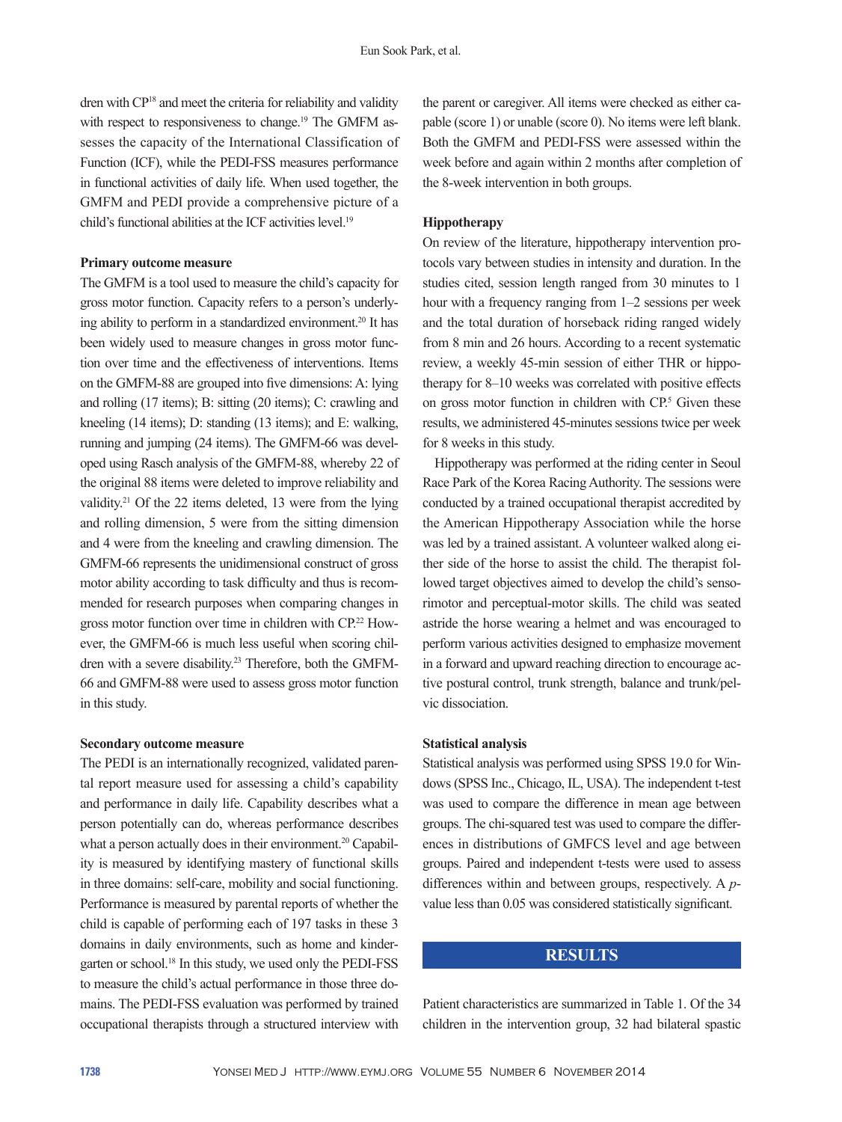dren with CP18 and meet the criteria for reliability and validity with respect to responsiveness to change.<sup>19</sup> The GMFM assesses the capacity of the International Classification of Function (ICF), while the PEDI-FSS measures performance in functional activities of daily life. When used together, the GMFM and PEDI provide a comprehensive picture of a child's functional abilities at the ICF activities level.<sup>19</sup>

### **Primary outcome measure**

The GMFM is a tool used to measure the child's capacity for gross motor function. Capacity refers to a person's underlying ability to perform in a standardized environment.<sup>20</sup> It has been widely used to measure changes in gross motor function over time and the effectiveness of interventions. Items on the GMFM-88 are grouped into five dimensions: A: lying and rolling (17 items); B: sitting (20 items); C: crawling and kneeling (14 items); D: standing (13 items); and E: walking, running and jumping (24 items). The GMFM-66 was developed using Rasch analysis of the GMFM-88, whereby 22 of the original 88 items were deleted to improve reliability and validity.21 Of the 22 items deleted, 13 were from the lying and rolling dimension, 5 were from the sitting dimension and 4 were from the kneeling and crawling dimension. The GMFM-66 represents the unidimensional construct of gross motor ability according to task difficulty and thus is recommended for research purposes when comparing changes in gross motor function over time in children with CP.22 However, the GMFM-66 is much less useful when scoring children with a severe disability.<sup>23</sup> Therefore, both the GMFM-66 and GMFM-88 were used to assess gross motor function in this study.

### **Secondary outcome measure**

The PEDI is an internationally recognized, validated parental report measure used for assessing a child's capability and performance in daily life. Capability describes what a person potentially can do, whereas performance describes what a person actually does in their environment.<sup>20</sup> Capability is measured by identifying mastery of functional skills in three domains: self-care, mobility and social functioning. Performance is measured by parental reports of whether the child is capable of performing each of 197 tasks in these 3 domains in daily environments, such as home and kindergarten or school.18 In this study, we used only the PEDI-FSS to measure the child's actual performance in those three domains. The PEDI-FSS evaluation was performed by trained occupational therapists through a structured interview with

the parent or caregiver. All items were checked as either capable (score 1) or unable (score 0). No items were left blank. Both the GMFM and PEDI-FSS were assessed within the week before and again within 2 months after completion of the 8-week intervention in both groups.

## **Hippotherapy**

On review of the literature, hippotherapy intervention protocols vary between studies in intensity and duration. In the studies cited, session length ranged from 30 minutes to 1 hour with a frequency ranging from 1–2 sessions per week and the total duration of horseback riding ranged widely from 8 min and 26 hours. According to a recent systematic review, a weekly 45-min session of either THR or hippotherapy for 8–10 weeks was correlated with positive effects on gross motor function in children with  $CP<sup>5</sup>$  Given these results, we administered 45-minutes sessions twice per week for 8 weeks in this study.

Hippotherapy was performed at the riding center in Seoul Race Park of the Korea Racing Authority. The sessions were conducted by a trained occupational therapist accredited by the American Hippotherapy Association while the horse was led by a trained assistant. A volunteer walked along either side of the horse to assist the child. The therapist followed target objectives aimed to develop the child's sensorimotor and perceptual-motor skills. The child was seated astride the horse wearing a helmet and was encouraged to perform various activities designed to emphasize movement in a forward and upward reaching direction to encourage active postural control, trunk strength, balance and trunk/pelvic dissociation.

## **Statistical analysis**

Statistical analysis was performed using SPSS 19.0 for Windows (SPSS Inc., Chicago, IL, USA). The independent t-test was used to compare the difference in mean age between groups. The chi-squared test was used to compare the differences in distributions of GMFCS level and age between groups. Paired and independent t-tests were used to assess differences within and between groups, respectively. A *p*value less than 0.05 was considered statistically significant.

# **RESULTS**

Patient characteristics are summarized in Table 1. Of the 34 children in the intervention group, 32 had bilateral spastic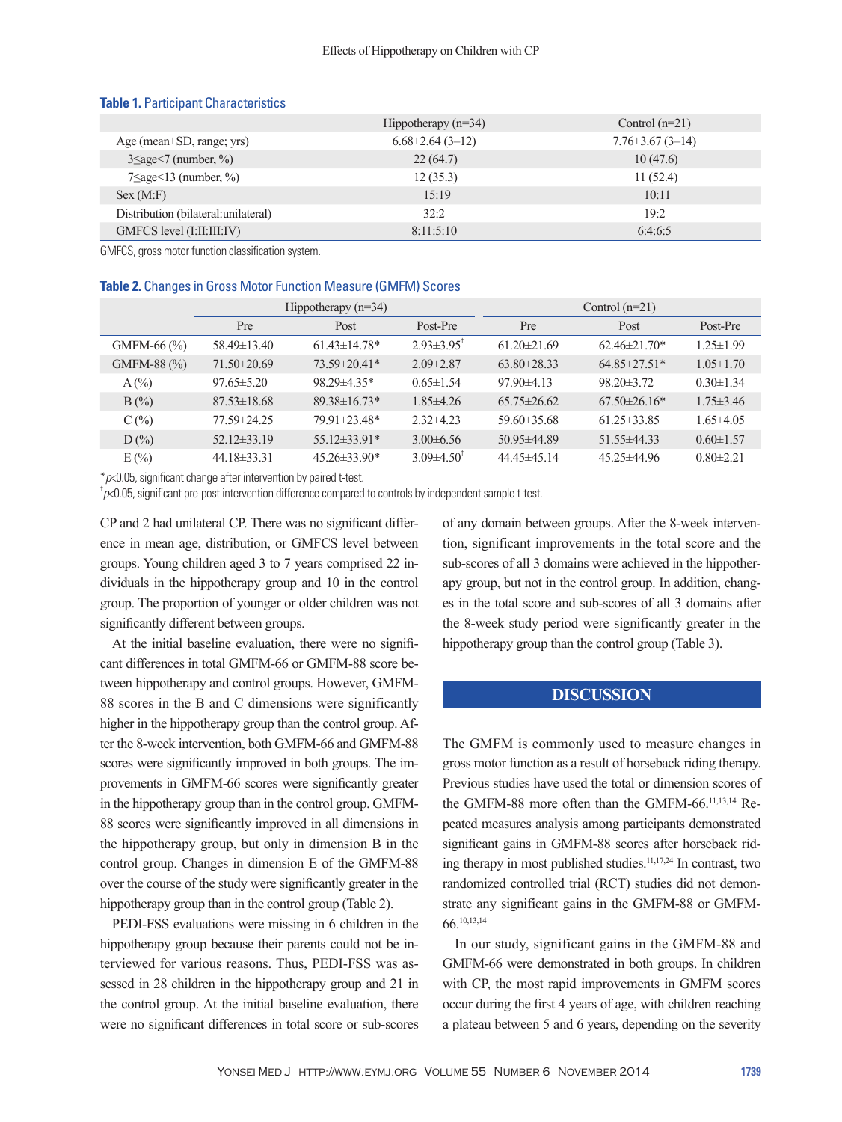|                                      | Hippotherapy $(n=34)$ | Control $(n=21)$       |  |  |
|--------------------------------------|-----------------------|------------------------|--|--|
| Age (mean $\pm$ SD, range; yrs)      | $6.68\pm2.64(3-12)$   | $7.76 \pm 3.67$ (3-14) |  |  |
| $3 \leq age < 7$ (number, %)         | 22(64.7)              | 10(47.6)               |  |  |
| $7 \leq age \leq 13$ (number, %)     | 12(35.3)              | 11(52.4)               |  |  |
| Sex (M: F)                           | 15:19                 | 10:11                  |  |  |
| Distribution (bilateral: unilateral) | 32:2                  | 19:2                   |  |  |
| GMFCS level (I:II:III:IV)            | 8:11:5:10             | 6:4:6:5                |  |  |

#### **Table 1.** Participant Characteristics

GMFCS, gross motor function classification system.

#### **Table 2.** Changes in Gross Motor Function Measure (GMFM) Scores

|                 | Hippotherapy $(n=34)$ |                    |                            | Control $(n=21)$  |                   |                 |
|-----------------|-----------------------|--------------------|----------------------------|-------------------|-------------------|-----------------|
|                 | <b>Pre</b>            | Post               | Post-Pre                   | <b>Pre</b>        | Post              | Post-Pre        |
| GMFM-66 $(\% )$ | $58.49 \pm 13.40$     | $6143 \pm 1478$ *  | $2.93\pm3.95$ <sup>T</sup> | $61.20 \pm 21.69$ | $62.46\pm21.70*$  | $1.25 \pm 1.99$ |
| GMFM-88 $(\% )$ | $71.50\pm20.69$       | $73.59 \pm 20.41*$ | $2.09\pm2.87$              | $63.80\pm28.33$   | $64.85\pm27.51*$  | $1.05 \pm 1.70$ |
| $A(\%)$         | $97.65 \pm 5.20$      | $98.29 \pm 4.35*$  | $0.65 \pm 1.54$            | $97.90\pm4.13$    | $98.20 \pm 3.72$  | $0.30 \pm 1.34$ |
| $B(\%)$         | $87.53\pm18.68$       | $89.38 \pm 16.73*$ | $1.85\pm4.26$              | $65.75 \pm 26.62$ | $67.50\pm26.16*$  | $1.75 \pm 3.46$ |
| $C(\%)$         | 77.59±24.25           | 79.91±23.48*       | $2.32\pm4.23$              | $59.60\pm35.68$   | $61.25\pm33.85$   | $1.65\pm4.05$   |
| $D(\%)$         | $52.12\pm33.19$       | $55.12\pm33.91*$   | $3.00\pm 6.56$             | $50.95 \pm 44.89$ | $51.55\pm44.33$   | $0.60 \pm 1.57$ |
| E(%)            | $44.18\pm33.31$       | $45.26\pm33.90*$   | $3.09\pm4.50^{\dagger}$    | $44.45\pm45.14$   | $45.25 \pm 44.96$ | $0.80 \pm 2.21$ |

\**p*<0.05, significant change after intervention by paired t-test. †

*p*<0.05, significant pre-post intervention difference compared to controls by independent sample t-test.

CP and 2 had unilateral CP. There was no significant difference in mean age, distribution, or GMFCS level between groups. Young children aged 3 to 7 years comprised 22 individuals in the hippotherapy group and 10 in the control group. The proportion of younger or older children was not significantly different between groups.

At the initial baseline evaluation, there were no significant differences in total GMFM-66 or GMFM-88 score between hippotherapy and control groups. However, GMFM-88 scores in the B and C dimensions were significantly higher in the hippotherapy group than the control group. After the 8-week intervention, both GMFM-66 and GMFM-88 scores were significantly improved in both groups. The improvements in GMFM-66 scores were significantly greater in the hippotherapy group than in the control group. GMFM-88 scores were significantly improved in all dimensions in the hippotherapy group, but only in dimension B in the control group. Changes in dimension E of the GMFM-88 over the course of the study were significantly greater in the hippotherapy group than in the control group (Table 2).

PEDI-FSS evaluations were missing in 6 children in the hippotherapy group because their parents could not be interviewed for various reasons. Thus, PEDI-FSS was assessed in 28 children in the hippotherapy group and 21 in the control group. At the initial baseline evaluation, there were no significant differences in total score or sub-scores

of any domain between groups. After the 8-week intervention, significant improvements in the total score and the sub-scores of all 3 domains were achieved in the hippotherapy group, but not in the control group. In addition, changes in the total score and sub-scores of all 3 domains after the 8-week study period were significantly greater in the hippotherapy group than the control group (Table 3).

# **DISCUSSION**

The GMFM is commonly used to measure changes in gross motor function as a result of horseback riding therapy. Previous studies have used the total or dimension scores of the GMFM-88 more often than the GMFM-66.<sup>11,13,14</sup> Repeated measures analysis among participants demonstrated significant gains in GMFM-88 scores after horseback riding therapy in most published studies.11,17,24 In contrast, two randomized controlled trial (RCT) studies did not demonstrate any significant gains in the GMFM-88 or GMFM-66.10,13,14

In our study, significant gains in the GMFM-88 and GMFM-66 were demonstrated in both groups. In children with CP, the most rapid improvements in GMFM scores occur during the first 4 years of age, with children reaching a plateau between 5 and 6 years, depending on the severity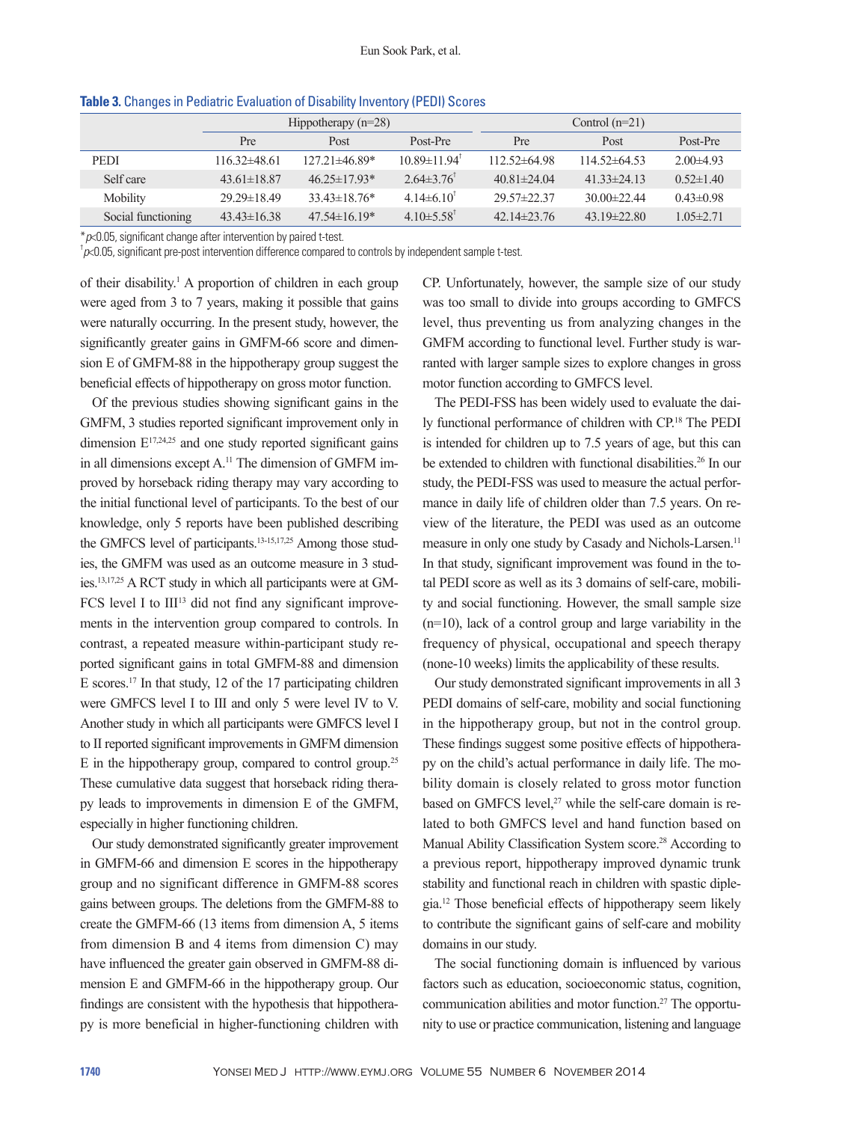|                    | Hippotherapy $(n=28)$ |                     |                                | Control $(n=21)$  |                   |                 |
|--------------------|-----------------------|---------------------|--------------------------------|-------------------|-------------------|-----------------|
|                    | Pre                   | <b>Post</b>         | Post-Pre                       | Pre               | Post              | Post-Pre        |
| <b>PEDI</b>        | $116.32\pm48.61$      | $127.21 \pm 46.89*$ | $10.89 \pm 11.94$ <sup>T</sup> | $112.52\pm 64.98$ | $114.52\pm 64.53$ | $2.00\pm4.93$   |
| Self care          | $43.61 \pm 18.87$     | $46.25 \pm 17.93*$  | $2.64\pm3.76$ <sup>t</sup>     | $40.81 \pm 24.04$ | $41.33 \pm 24.13$ | $0.52 \pm 1.40$ |
| Mobility           | $29.29 \pm 18.49$     | $33.43 \pm 18.76*$  | $4.14\pm6.10^{\circ}$          | $29.57 \pm 22.37$ | 30 $00\pm 22.44$  | $0.43\pm0.98$   |
| Social functioning | $43.43\pm16.38$       | $47.54\pm16.19*$    | 4.10 $\pm$ 5.58 <sup>t</sup>   | $42.14\pm 23.76$  | $43.19 \pm 22.80$ | $1.05 \pm 2.71$ |

**Table 3.** Changes in Pediatric Evaluation of Disability Inventory (PEDI) Scores

\**p*<0.05, significant change after intervention by paired t-test. †

 $p \times 0.05$ , significant pre-post intervention difference compared to controls by independent sample t-test.

of their disability.<sup>1</sup> A proportion of children in each group were aged from 3 to 7 years, making it possible that gains were naturally occurring. In the present study, however, the significantly greater gains in GMFM-66 score and dimension E of GMFM-88 in the hippotherapy group suggest the beneficial effects of hippotherapy on gross motor function.

Of the previous studies showing significant gains in the GMFM, 3 studies reported significant improvement only in dimension  $E^{17,24,25}$  and one study reported significant gains in all dimensions except A.<sup>11</sup> The dimension of GMFM improved by horseback riding therapy may vary according to the initial functional level of participants. To the best of our knowledge, only 5 reports have been published describing the GMFCS level of participants.<sup>13-15,17,25</sup> Among those studies, the GMFM was used as an outcome measure in 3 studies.13,17,25 A RCT study in which all participants were at GM- $FCS$  level I to  $III<sup>13</sup>$  did not find any significant improvements in the intervention group compared to controls. In contrast, a repeated measure within-participant study reported significant gains in total GMFM-88 and dimension E scores.17 In that study, 12 of the 17 participating children were GMFCS level I to III and only 5 were level IV to V. Another study in which all participants were GMFCS level I to II reported significant improvements in GMFM dimension E in the hippotherapy group, compared to control group.25 These cumulative data suggest that horseback riding therapy leads to improvements in dimension E of the GMFM, especially in higher functioning children.

Our study demonstrated significantly greater improvement in GMFM-66 and dimension E scores in the hippotherapy group and no significant difference in GMFM-88 scores gains between groups. The deletions from the GMFM-88 to create the GMFM-66 (13 items from dimension A, 5 items from dimension B and 4 items from dimension C) may have influenced the greater gain observed in GMFM-88 dimension E and GMFM-66 in the hippotherapy group. Our findings are consistent with the hypothesis that hippotherapy is more beneficial in higher-functioning children with

CP. Unfortunately, however, the sample size of our study was too small to divide into groups according to GMFCS level, thus preventing us from analyzing changes in the GMFM according to functional level. Further study is warranted with larger sample sizes to explore changes in gross motor function according to GMFCS level.

The PEDI-FSS has been widely used to evaluate the daily functional performance of children with CP.18 The PEDI is intended for children up to 7.5 years of age, but this can be extended to children with functional disabilities.<sup>26</sup> In our study, the PEDI-FSS was used to measure the actual performance in daily life of children older than 7.5 years. On review of the literature, the PEDI was used as an outcome measure in only one study by Casady and Nichols-Larsen.<sup>11</sup> In that study, significant improvement was found in the total PEDI score as well as its 3 domains of self-care, mobility and social functioning. However, the small sample size (n=10), lack of a control group and large variability in the frequency of physical, occupational and speech therapy (none-10 weeks) limits the applicability of these results.

Our study demonstrated significant improvements in all 3 PEDI domains of self-care, mobility and social functioning in the hippotherapy group, but not in the control group. These findings suggest some positive effects of hippotherapy on the child's actual performance in daily life. The mobility domain is closely related to gross motor function based on GMFCS level,<sup>27</sup> while the self-care domain is related to both GMFCS level and hand function based on Manual Ability Classification System score.<sup>28</sup> According to a previous report, hippotherapy improved dynamic trunk stability and functional reach in children with spastic diplegia.12 Those beneficial effects of hippotherapy seem likely to contribute the significant gains of self-care and mobility domains in our study.

The social functioning domain is influenced by various factors such as education, socioeconomic status, cognition, communication abilities and motor function.27 The opportunity to use or practice communication, listening and language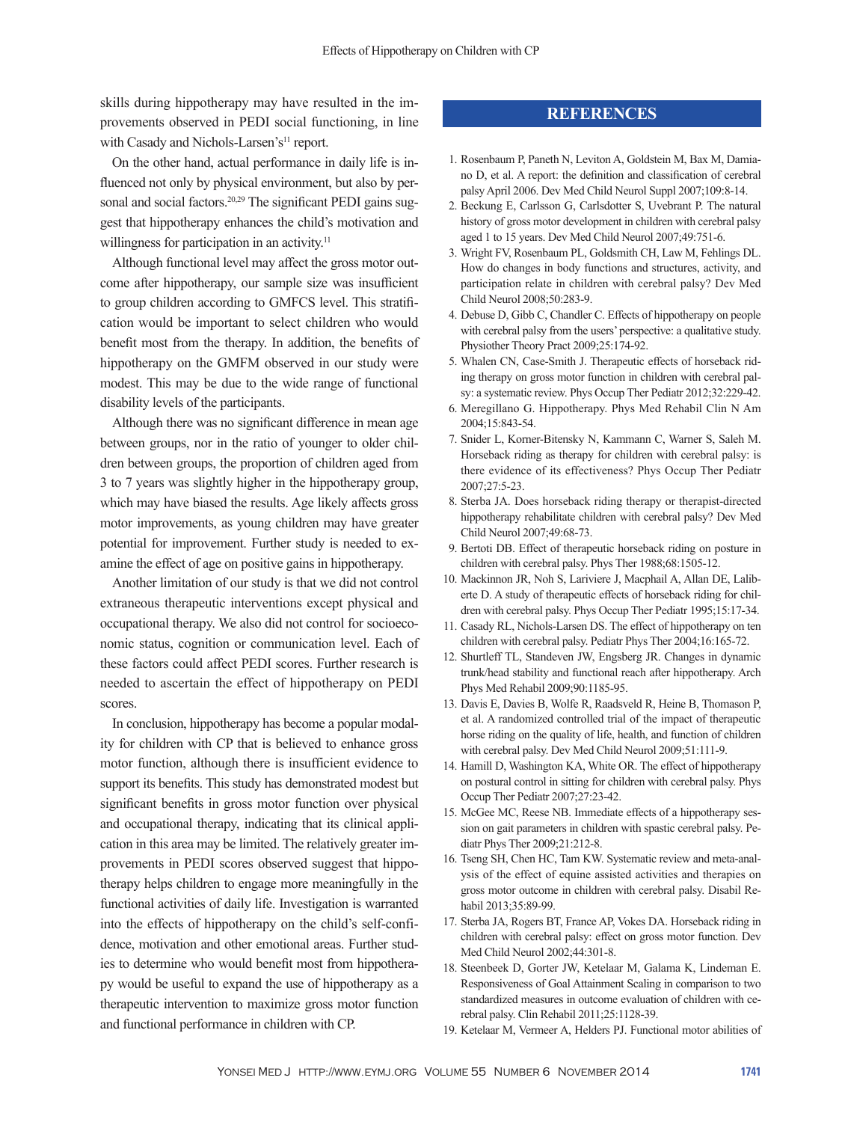skills during hippotherapy may have resulted in the improvements observed in PEDI social functioning, in line with Casady and Nichols-Larsen's<sup>11</sup> report.

On the other hand, actual performance in daily life is influenced not only by physical environment, but also by personal and social factors.<sup>20,29</sup> The significant PEDI gains suggest that hippotherapy enhances the child's motivation and willingness for participation in an activity.<sup>11</sup>

Although functional level may affect the gross motor outcome after hippotherapy, our sample size was insufficient to group children according to GMFCS level. This stratification would be important to select children who would benefit most from the therapy. In addition, the benefits of hippotherapy on the GMFM observed in our study were modest. This may be due to the wide range of functional disability levels of the participants.

Although there was no significant difference in mean age between groups, nor in the ratio of younger to older children between groups, the proportion of children aged from 3 to 7 years was slightly higher in the hippotherapy group, which may have biased the results. Age likely affects gross motor improvements, as young children may have greater potential for improvement. Further study is needed to examine the effect of age on positive gains in hippotherapy.

Another limitation of our study is that we did not control extraneous therapeutic interventions except physical and occupational therapy. We also did not control for socioeconomic status, cognition or communication level. Each of these factors could affect PEDI scores. Further research is needed to ascertain the effect of hippotherapy on PEDI scores.

In conclusion, hippotherapy has become a popular modality for children with CP that is believed to enhance gross motor function, although there is insufficient evidence to support its benefits. This study has demonstrated modest but significant benefits in gross motor function over physical and occupational therapy, indicating that its clinical application in this area may be limited. The relatively greater improvements in PEDI scores observed suggest that hippotherapy helps children to engage more meaningfully in the functional activities of daily life. Investigation is warranted into the effects of hippotherapy on the child's self-confidence, motivation and other emotional areas. Further studies to determine who would benefit most from hippotherapy would be useful to expand the use of hippotherapy as a therapeutic intervention to maximize gross motor function and functional performance in children with CP.

# **REFERENCES**

- 1. Rosenbaum P, Paneth N, Leviton A, Goldstein M, Bax M, Damiano D, et al. A report: the definition and classification of cerebral palsy April 2006. Dev Med Child Neurol Suppl 2007;109:8-14.
- 2. Beckung E, Carlsson G, Carlsdotter S, Uvebrant P. The natural history of gross motor development in children with cerebral palsy aged 1 to 15 years. Dev Med Child Neurol 2007;49:751-6.
- 3. Wright FV, Rosenbaum PL, Goldsmith CH, Law M, Fehlings DL. How do changes in body functions and structures, activity, and participation relate in children with cerebral palsy? Dev Med Child Neurol 2008;50:283-9.
- 4. Debuse D, Gibb C, Chandler C. Effects of hippotherapy on people with cerebral palsy from the users' perspective: a qualitative study. Physiother Theory Pract 2009;25:174-92.
- 5. Whalen CN, Case-Smith J. Therapeutic effects of horseback riding therapy on gross motor function in children with cerebral palsy: a systematic review. Phys Occup Ther Pediatr 2012;32:229-42.
- 6. Meregillano G. Hippotherapy. Phys Med Rehabil Clin N Am 2004;15:843-54.
- 7. Snider L, Korner-Bitensky N, Kammann C, Warner S, Saleh M. Horseback riding as therapy for children with cerebral palsy: is there evidence of its effectiveness? Phys Occup Ther Pediatr 2007;27:5-23.
- 8. Sterba JA. Does horseback riding therapy or therapist-directed hippotherapy rehabilitate children with cerebral palsy? Dev Med Child Neurol 2007;49:68-73.
- 9. Bertoti DB. Effect of therapeutic horseback riding on posture in children with cerebral palsy. Phys Ther 1988;68:1505-12.
- 10. Mackinnon JR, Noh S, Lariviere J, Macphail A, Allan DE, Laliberte D. A study of therapeutic effects of horseback riding for children with cerebral palsy. Phys Occup Ther Pediatr 1995;15:17-34.
- 11. Casady RL, Nichols-Larsen DS. The effect of hippotherapy on ten children with cerebral palsy. Pediatr Phys Ther 2004;16:165-72.
- 12. Shurtleff TL, Standeven JW, Engsberg JR. Changes in dynamic trunk/head stability and functional reach after hippotherapy. Arch Phys Med Rehabil 2009;90:1185-95.
- 13. Davis E, Davies B, Wolfe R, Raadsveld R, Heine B, Thomason P, et al. A randomized controlled trial of the impact of therapeutic horse riding on the quality of life, health, and function of children with cerebral palsy. Dev Med Child Neurol 2009;51:111-9.
- 14. Hamill D, Washington KA, White OR. The effect of hippotherapy on postural control in sitting for children with cerebral palsy. Phys Occup Ther Pediatr 2007;27:23-42.
- 15. McGee MC, Reese NB. Immediate effects of a hippotherapy session on gait parameters in children with spastic cerebral palsy. Pediatr Phys Ther 2009;21:212-8.
- 16. Tseng SH, Chen HC, Tam KW. Systematic review and meta-analysis of the effect of equine assisted activities and therapies on gross motor outcome in children with cerebral palsy. Disabil Rehabil 2013;35:89-99.
- 17. Sterba JA, Rogers BT, France AP, Vokes DA. Horseback riding in children with cerebral palsy: effect on gross motor function. Dev Med Child Neurol 2002;44:301-8.
- 18. Steenbeek D, Gorter JW, Ketelaar M, Galama K, Lindeman E. Responsiveness of Goal Attainment Scaling in comparison to two standardized measures in outcome evaluation of children with cerebral palsy. Clin Rehabil 2011;25:1128-39.
- 19. Ketelaar M, Vermeer A, Helders PJ. Functional motor abilities of